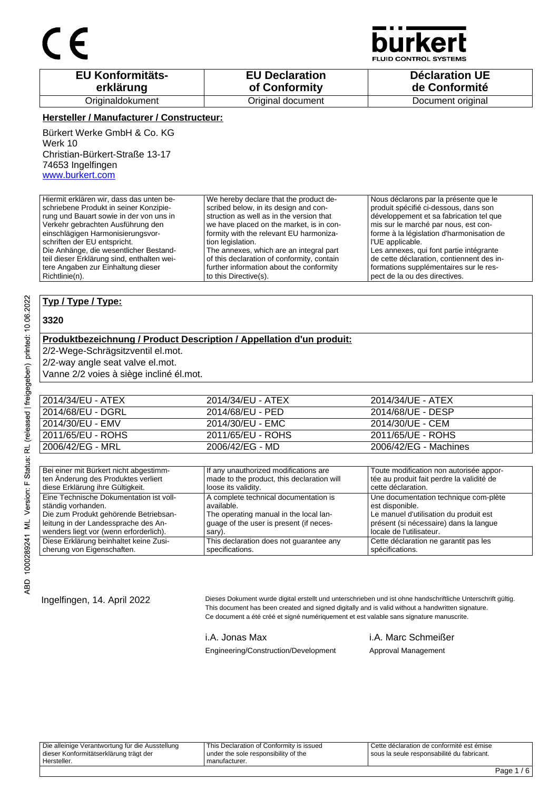

**D CONTROL SYSTEMS** 

| <b>EU Konformitäts-</b> | <b>EU Declaration</b> | <b>Déclaration UE</b> |
|-------------------------|-----------------------|-----------------------|
| erklärung               | of Conformity         | de Conformité         |
| Originaldokument        | Original document     | Document original     |

### **Hersteller / Manufacturer / Constructeur:**

Bürkert Werke GmbH & Co. KG Werk 10 Christian-Bürkert-Straße 13-17 74653 Ingelfingen www.burkert.com

Hiermit erklären wir, dass das unten beschriebene Produkt in seiner Konzipierung und Bauart sowie in der von uns in Verkehr gebrachten Ausführung den einschlägigen Harmonisierungsvorschriften der EU entspricht. Die Anhänge, die wesentlicher Bestandteil dieser Erklärung sind, enthalten weitere Angaben zur Einhaltung dieser Richtlinie(n). We hereby declare that the product described below, in its design and construction as well as in the version that we have placed on the market, is in conformity with the relevant EU harmonization legislation. The annexes, which are an integral part of this declaration of conformity, contain further information about the conformity to this Directive(s). Nous déclarons par la présente que le produit spécifié ci-dessous, dans son développement et sa fabrication tel que mis sur le marché par nous, est conforme à la législation d'harmonisation de l'UE applicable. Les annexes, qui font partie intégrante de cette déclaration, contiennent des informations supplémentaires sur le respect de la ou des directives.

### **Typ / Type / Type:**

### **3320**

### **Produktbezeichnung / Product Description / Appellation d'un produit:**

2/2-Wege-Schrägsitzventil el.mot.

2/2-way angle seat valve el.mot.

Vanne 2/2 voies à siège incliné él.mot.

| 2014/34/EU - ATEX | 2014/34/EU - ATEX | 2014/34/UE - ATEX     |
|-------------------|-------------------|-----------------------|
| 2014/68/EU - DGRL | 2014/68/EU - PED  | 2014/68/UE - DESP     |
| 2014/30/EU - EMV  | 2014/30/EU - EMC  | 2014/30/UE - CEM      |
| 2011/65/EU - ROHS | 2011/65/EU - ROHS | 2011/65/UE - ROHS     |
| 2006/42/EG - MRL  | 2006/42/EG - MD   | 2006/42/EG - Machines |

| Bei einer mit Bürkert nicht abgestimm-  | If any unauthorized modifications are      | Toute modification non autorisée appor-   |
|-----------------------------------------|--------------------------------------------|-------------------------------------------|
| ten Änderung des Produktes verliert     | made to the product, this declaration will | tée au produit fait perdre la validité de |
| diese Erklärung ihre Gültigkeit.        | loose its validity.                        | cette déclaration.                        |
| Eine Technische Dokumentation ist voll- | A complete technical documentation is      | Une documentation technique com-plète     |
| ständig vorhanden.                      | available.                                 | est disponible.                           |
| Die zum Produkt gehörende Betriebsan-   | The operating manual in the local lan-     | Le manuel d'utilisation du produit est    |
| leitung in der Landessprache des An-    | guage of the user is present (if neces-    | présent (si nécessaire) dans la langue    |
| wenders liegt vor (wenn erforderlich).  | sary).                                     | locale de l'utilisateur.                  |
| Diese Erklärung beinhaltet keine Zusi-  | This declaration does not quarantee any    | Cette déclaration ne garantit pas les     |
| cherung von Eigenschaften.              | specifications.                            | spécifications.                           |

Ingelfingen, 14. April 2022 Dieses Dokument wurde digital erstellt und unterschrieben und ist ohne handschriftliche Unterschrift gültig. This document has been created and signed digitally and is valid without a handwritten signature. Ce document a été créé et signé numériquement et est valable sans signature manuscrite.

Engineering/Construction/Development Approval Management

i.A. Jonas Max i.A. Marc Schmeißer

Die alleinige Verantwortung für die Ausstellung dieser Konformitätserklärung trägt der Hersteller. This Declaration of Conformity is issued under the sole responsibility of the manufacturer.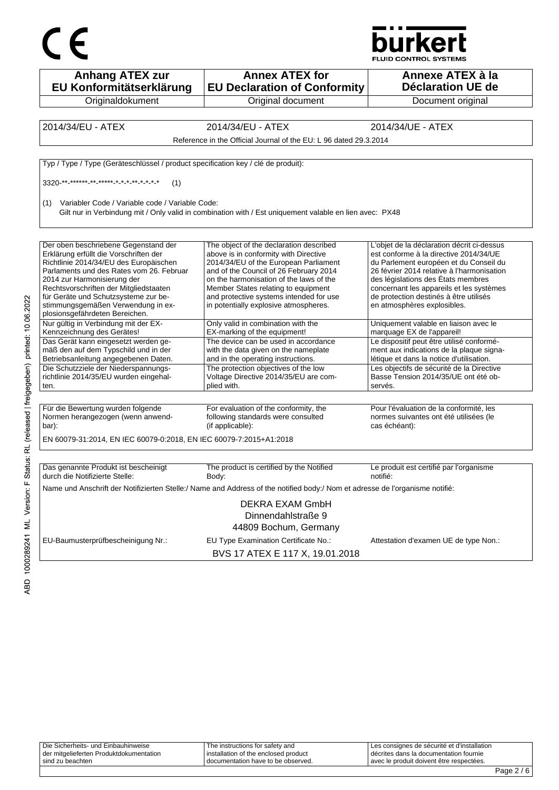



| <b>Anhang ATEX zur</b><br>EU Konformitätserklärung                                                                                                                                                                                                                                                                                                            | <b>Annex ATEX for</b><br><b>EU Declaration of Conformity</b>                                                                                                                                                                                                                                                                              | Annexe ATEX à la<br><b>Déclaration UE de</b>                                                                                                                                                                                                                                                                                            |
|---------------------------------------------------------------------------------------------------------------------------------------------------------------------------------------------------------------------------------------------------------------------------------------------------------------------------------------------------------------|-------------------------------------------------------------------------------------------------------------------------------------------------------------------------------------------------------------------------------------------------------------------------------------------------------------------------------------------|-----------------------------------------------------------------------------------------------------------------------------------------------------------------------------------------------------------------------------------------------------------------------------------------------------------------------------------------|
| Originaldokument                                                                                                                                                                                                                                                                                                                                              | Original document                                                                                                                                                                                                                                                                                                                         | Document original                                                                                                                                                                                                                                                                                                                       |
|                                                                                                                                                                                                                                                                                                                                                               |                                                                                                                                                                                                                                                                                                                                           |                                                                                                                                                                                                                                                                                                                                         |
| 2014/34/EU - ATEX                                                                                                                                                                                                                                                                                                                                             | 2014/34/EU - ATEX                                                                                                                                                                                                                                                                                                                         | 2014/34/UE - ATEX                                                                                                                                                                                                                                                                                                                       |
|                                                                                                                                                                                                                                                                                                                                                               | Reference in the Official Journal of the EU: L 96 dated 29.3.2014                                                                                                                                                                                                                                                                         |                                                                                                                                                                                                                                                                                                                                         |
| Typ / Type / Type (Geräteschlüssel / product specification key / clé de produit):                                                                                                                                                                                                                                                                             |                                                                                                                                                                                                                                                                                                                                           |                                                                                                                                                                                                                                                                                                                                         |
| 3320 ** ****** ** ***** * * * * * * * * *<br>(1)                                                                                                                                                                                                                                                                                                              |                                                                                                                                                                                                                                                                                                                                           |                                                                                                                                                                                                                                                                                                                                         |
| Variabler Code / Variable code / Variable Code:<br>(1)                                                                                                                                                                                                                                                                                                        | Gilt nur in Verbindung mit / Only valid in combination with / Est uniquement valable en lien avec: PX48                                                                                                                                                                                                                                   |                                                                                                                                                                                                                                                                                                                                         |
| Der oben beschriebene Gegenstand der<br>Erklärung erfüllt die Vorschriften der<br>Richtlinie 2014/34/EU des Europäischen<br>Parlaments und des Rates vom 26. Februar<br>2014 zur Harmonisierung der<br>Rechtsvorschriften der Mitgliedstaaten<br>für Geräte und Schutzsysteme zur be-<br>stimmungsgemäßen Verwendung in ex-<br>plosionsgefährdeten Bereichen. | The object of the declaration described<br>above is in conformity with Directive<br>2014/34/EU of the European Parliament<br>and of the Council of 26 February 2014<br>on the harmonisation of the laws of the<br>Member States relating to equipment<br>and protective systems intended for use<br>in potentially explosive atmospheres. | L'objet de la déclaration décrit ci-dessus<br>est conforme à la directive 2014/34/UE<br>du Parlement européen et du Conseil du<br>26 février 2014 relative à l'harmonisation<br>des législations des États membres<br>concernant les appareils et les systèmes<br>de protection destinés à être utilisés<br>en atmosphères explosibles. |
| Nur gültig in Verbindung mit der EX-<br>Kennzeichnung des Gerätes!                                                                                                                                                                                                                                                                                            | Only valid in combination with the<br>EX-marking of the equipment!                                                                                                                                                                                                                                                                        | Uniquement valable en liaison avec le<br>marquage EX de l'appareil!                                                                                                                                                                                                                                                                     |
| Das Gerät kann eingesetzt werden ge-<br>mäß den auf dem Typschild und in der<br>Betriebsanleitung angegebenen Daten.                                                                                                                                                                                                                                          | The device can be used in accordance<br>with the data given on the nameplate<br>and in the operating instructions.                                                                                                                                                                                                                        | Le dispositif peut être utilisé conformé-<br>ment aux indications de la plaque signa-<br>létique et dans la notice d'utilisation.                                                                                                                                                                                                       |
| Die Schutzziele der Niederspannungs-<br>richtlinie 2014/35/EU wurden eingehal-<br>ten.                                                                                                                                                                                                                                                                        | The protection objectives of the low<br>Voltage Directive 2014/35/EU are com-<br>plied with.                                                                                                                                                                                                                                              | Les objectifs de sécurité de la Directive<br>Basse Tension 2014/35/UE ont été ob-<br>servés.                                                                                                                                                                                                                                            |
|                                                                                                                                                                                                                                                                                                                                                               |                                                                                                                                                                                                                                                                                                                                           |                                                                                                                                                                                                                                                                                                                                         |
| Für die Bewertung wurden folgende<br>Normen herangezogen (wenn anwend-<br>bar):                                                                                                                                                                                                                                                                               | For evaluation of the conformity, the<br>following standards were consulted<br>(if applicable):                                                                                                                                                                                                                                           | Pour l'évaluation de la conformité, les<br>normes suivantes ont été utilisées (le<br>cas échéant):                                                                                                                                                                                                                                      |
| EN 60079-31:2014, EN IEC 60079-0:2018, EN IEC 60079-7:2015+A1:2018                                                                                                                                                                                                                                                                                            |                                                                                                                                                                                                                                                                                                                                           |                                                                                                                                                                                                                                                                                                                                         |
|                                                                                                                                                                                                                                                                                                                                                               |                                                                                                                                                                                                                                                                                                                                           |                                                                                                                                                                                                                                                                                                                                         |
| Das genannte Produkt ist bescheinigt<br>durch die Notifizierte Stelle:                                                                                                                                                                                                                                                                                        | The product is certified by the Notified<br>Body:                                                                                                                                                                                                                                                                                         | Le produit est certifié par l'organisme<br>notifié:                                                                                                                                                                                                                                                                                     |
|                                                                                                                                                                                                                                                                                                                                                               | Name und Anschrift der Notifizierten Stelle:/ Name and Address of the notified body:/ Nom et adresse de l'organisme notifié:                                                                                                                                                                                                              |                                                                                                                                                                                                                                                                                                                                         |
|                                                                                                                                                                                                                                                                                                                                                               | DEKRA EXAM GmbH<br>Dinnendahlstraße 9<br>44809 Bochum, Germany                                                                                                                                                                                                                                                                            |                                                                                                                                                                                                                                                                                                                                         |
| EU-Baumusterprüfbescheinigung Nr.:                                                                                                                                                                                                                                                                                                                            | EU Type Examination Certificate No.:<br>BVS 17 ATEX E 117 X, 19.01.2018                                                                                                                                                                                                                                                                   | Attestation d'examen UE de type Non.:                                                                                                                                                                                                                                                                                                   |

| sind zu beachten                        | I documentation have to be observed. | avec le produit doivent être respectées.    |  |
|-----------------------------------------|--------------------------------------|---------------------------------------------|--|
| der mitgelieferten Produktdokumentation | installation of the enclosed product | I décrites dans la documentation fournie    |  |
| Die Sicherheits- und Einbauhinweise     | The instructions for safety and      | Les consignes de sécurité et d'installation |  |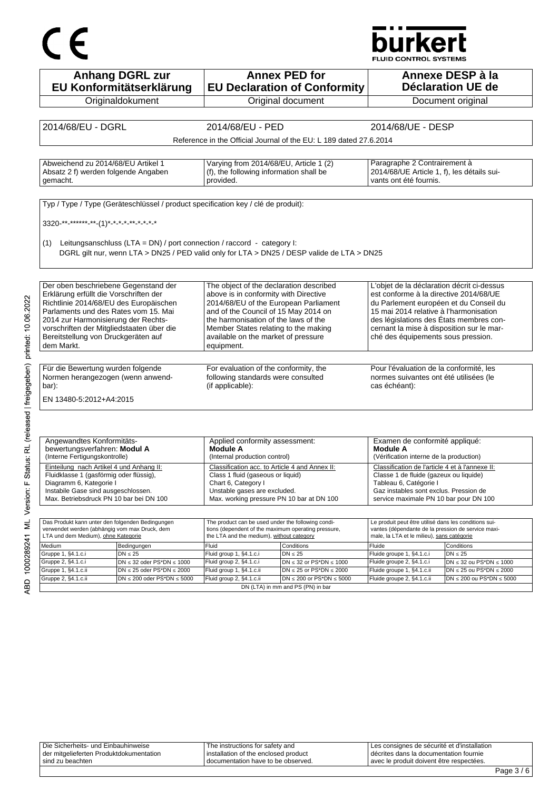# CE

## **burkert**

FLUID CONTROL SYSTEMS

|                                                                                      | <b>Anhang DGRL zur</b><br>EU Konformitätserklärung                                |                                                                                                  | <b>Annex PED for</b><br><b>EU Declaration of Conformity</b>                                |                                                                                                  | Annexe DESP à la<br>Déclaration UE de                                |
|--------------------------------------------------------------------------------------|-----------------------------------------------------------------------------------|--------------------------------------------------------------------------------------------------|--------------------------------------------------------------------------------------------|--------------------------------------------------------------------------------------------------|----------------------------------------------------------------------|
|                                                                                      | Originaldokument                                                                  |                                                                                                  | Original document                                                                          |                                                                                                  | Document original                                                    |
|                                                                                      |                                                                                   |                                                                                                  |                                                                                            |                                                                                                  |                                                                      |
| 2014/68/EU - DGRL                                                                    |                                                                                   | 2014/68/EU - PED                                                                                 |                                                                                            | 2014/68/UE - DESP                                                                                |                                                                      |
|                                                                                      |                                                                                   |                                                                                                  | Reference in the Official Journal of the EU: L 189 dated 27.6.2014                         |                                                                                                  |                                                                      |
|                                                                                      |                                                                                   |                                                                                                  |                                                                                            |                                                                                                  |                                                                      |
| Abweichend zu 2014/68/EU Artikel 1                                                   |                                                                                   | Varying from 2014/68/EU, Article 1 (2)                                                           |                                                                                            | Paragraphe 2 Contrairement à                                                                     |                                                                      |
| Absatz 2 f) werden folgende Angaben                                                  |                                                                                   | (f), the following information shall be                                                          |                                                                                            | 2014/68/UE Article 1, f), les détails sui-                                                       |                                                                      |
| gemacht.                                                                             |                                                                                   | provided.                                                                                        |                                                                                            | vants ont été fournis.                                                                           |                                                                      |
|                                                                                      |                                                                                   |                                                                                                  |                                                                                            |                                                                                                  |                                                                      |
|                                                                                      | Typ / Type / Type (Geräteschlüssel / product specification key / clé de produit): |                                                                                                  |                                                                                            |                                                                                                  |                                                                      |
|                                                                                      |                                                                                   |                                                                                                  |                                                                                            |                                                                                                  |                                                                      |
| 3320-**-******-**-(1)*-*-*-*-*-*-*-*-*                                               |                                                                                   |                                                                                                  |                                                                                            |                                                                                                  |                                                                      |
| (1)                                                                                  | Leitungsanschluss (LTA = DN) / port connection / raccord - category I:            |                                                                                                  |                                                                                            |                                                                                                  |                                                                      |
|                                                                                      |                                                                                   |                                                                                                  | DGRL gilt nur, wenn LTA > DN25 / PED valid only for LTA > DN25 / DESP valide de LTA > DN25 |                                                                                                  |                                                                      |
|                                                                                      |                                                                                   |                                                                                                  |                                                                                            |                                                                                                  |                                                                      |
|                                                                                      |                                                                                   |                                                                                                  |                                                                                            |                                                                                                  |                                                                      |
| Der oben beschriebene Gegenstand der                                                 |                                                                                   | The object of the declaration described                                                          |                                                                                            | L'objet de la déclaration décrit ci-dessus                                                       |                                                                      |
| Erklärung erfüllt die Vorschriften der                                               |                                                                                   | above is in conformity with Directive                                                            |                                                                                            | est conforme à la directive 2014/68/UE                                                           |                                                                      |
| Richtlinie 2014/68/EU des Europäischen<br>Parlaments und des Rates vom 15. Mai       |                                                                                   | 2014/68/EU of the European Parliament<br>and of the Council of 15 May 2014 on                    |                                                                                            | du Parlement européen et du Conseil du<br>15 mai 2014 relative à l'harmonisation                 |                                                                      |
| 2014 zur Harmonisierung der Rechts-                                                  |                                                                                   | the harmonisation of the laws of the                                                             |                                                                                            | des législations des États membres con-                                                          |                                                                      |
| vorschriften der Mitgliedstaaten über die                                            |                                                                                   | Member States relating to the making                                                             |                                                                                            | cernant la mise à disposition sur le mar-                                                        |                                                                      |
| Bereitstellung von Druckgeräten auf<br>dem Markt.                                    |                                                                                   | available on the market of pressure<br>equipment.                                                |                                                                                            | ché des équipements sous pression.                                                               |                                                                      |
|                                                                                      |                                                                                   |                                                                                                  |                                                                                            |                                                                                                  |                                                                      |
| Für die Bewertung wurden folgende                                                    |                                                                                   | For evaluation of the conformity, the                                                            |                                                                                            | Pour l'évaluation de la conformité, les                                                          |                                                                      |
| Normen herangezogen (wenn anwend-                                                    |                                                                                   | following standards were consulted                                                               |                                                                                            | normes suivantes ont été utilisées (le                                                           |                                                                      |
| bar):                                                                                |                                                                                   | (if applicable):                                                                                 |                                                                                            | cas échéant):                                                                                    |                                                                      |
| EN 13480-5:2012+A4:2015                                                              |                                                                                   |                                                                                                  |                                                                                            |                                                                                                  |                                                                      |
|                                                                                      |                                                                                   |                                                                                                  |                                                                                            |                                                                                                  |                                                                      |
|                                                                                      |                                                                                   |                                                                                                  |                                                                                            |                                                                                                  |                                                                      |
|                                                                                      |                                                                                   |                                                                                                  |                                                                                            |                                                                                                  |                                                                      |
| Angewandtes Konformitäts-<br>bewertungsverfahren: Modul A                            |                                                                                   | Applied conformity assessment:<br><b>Module A</b>                                                |                                                                                            | Examen de conformité appliqué:<br>Module A                                                       |                                                                      |
| (Interne Fertigungskontrolle)                                                        |                                                                                   | (Internal production control)                                                                    |                                                                                            | (Vérification interne de la production)                                                          |                                                                      |
| Einteilung nach Artikel 4 und Anhang II:                                             |                                                                                   | Classification acc. to Article 4 and Annex II:                                                   |                                                                                            | Classification de l'article 4 et à l'annexe II:                                                  |                                                                      |
| Fluidklasse 1 (gasförmig oder flüssig),                                              |                                                                                   | Class 1 fluid (gaseous or liquid)                                                                |                                                                                            | Classe 1 de fluide (gazeux ou liquide)<br>Tableau 6, Catégorie I                                 |                                                                      |
| Diagramm 6, Kategorie I<br>Instabile Gase sind ausgeschlossen.                       |                                                                                   | Chart 6, Category I<br>Unstable gases are excluded.                                              |                                                                                            | Gaz instables sont exclus. Pression de                                                           |                                                                      |
| Max. Betriebsdruck PN 10 bar bei DN 100                                              |                                                                                   | Max. working pressure PN 10 bar at DN 100                                                        |                                                                                            | service maximale PN 10 bar pour DN 100                                                           |                                                                      |
|                                                                                      |                                                                                   |                                                                                                  |                                                                                            |                                                                                                  |                                                                      |
| Das Produkt kann unter den folgenden Bedingungen                                     |                                                                                   | The product can be used under the following condi-                                               |                                                                                            | Le produit peut être utilisé dans les conditions sui-                                            |                                                                      |
| verwendet werden (abhängig vom max Druck, dem<br>LTA und dem Medium), ohne Kategorie |                                                                                   | tions (dependent of the maximum operating pressure,<br>the LTA and the medium), without category |                                                                                            | vantes (dépendante de la pression de service maxi-<br>male, la LTA et le milieu), sans catégorie |                                                                      |
| Medium                                                                               | Bedingungen                                                                       | Fluid                                                                                            | Conditions                                                                                 | Fluide                                                                                           | Conditions                                                           |
| Gruppe 1, §4.1.c.i                                                                   | $DN \leq 25$                                                                      | Fluid group 1, §4.1.c.i                                                                          | $DN \leq 25$                                                                               | Fluide groupe 1, §4.1.c.i                                                                        | $DN \leq 25$                                                         |
|                                                                                      | $DN \leq 32$ oder PS*DN $\leq 1000$<br>$DN \le 25$ oder PS*DN $\le 2000$          | Fluid group 2, §4.1.c.i<br>Fluid group 1, §4.1.c.ii                                              | DN $\leq$ 32 or PS*DN $\leq$ 1000<br>DN $\leq$ 25 or PS*DN $\leq$ 2000                     | Fluide groupe 2, §4.1.c.i<br>Fluide groupe 1, §4.1.c.ii                                          | $DN \leq 32$ ou PS*DN $\leq 1000$<br>$DN \le 25$ ou PS*DN $\le 2000$ |
|                                                                                      |                                                                                   |                                                                                                  | DN $\leq$ 200 or PS*DN $\leq$ 5000                                                         | Fluide groupe 2, §4.1.c.ii                                                                       | $DN \le 200$ ou PS*DN $\le 5000$                                     |
| Gruppe 2, §4.1.c.i<br>Gruppe 1, §4.1.c.ii<br>Gruppe 2, §4.1.c.ii                     | $DN \le 200$ oder PS*DN $\le 5000$                                                | Fluid group 2, §4.1.c.ii                                                                         |                                                                                            |                                                                                                  |                                                                      |

ABD 1000289241 ML Version: F Status: RL (released | freigegeben) printed: 10.06.2022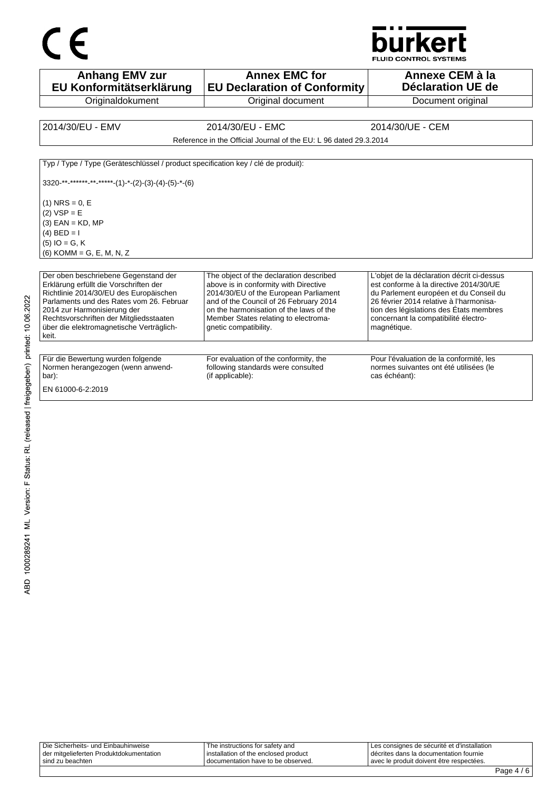

**Anhang EMV zur EU Konformitätserklärung Originaldokument Annex EMC for EU Declaration of Conformity** Original document **Annexe CEM à la Déclaration UE de**  Document original 2014/30/EU - EMV 2014/30/EU - EMC 2014/30/UE - CEM Reference in the Official Journal of the EU: L 96 dated 29.3.2014 Typ / Type / Type (Geräteschlüssel / product specification key / clé de produit):  $3320$ -\*\*-\*\*\*\*\*<sub>-</sub>\*\*-\*\*\*\*-(1)-\*-(2)-(3)-(4)-(5)-\*-(6)  $(1)$  NRS = 0, E  $(2)$  VSP = E  $(3)$  EAN = KD, MP (4)  $BED = I$ (5) IO = G, K (6) KOMM = G, E, M, N, Z Der oben beschriebene Gegenstand der Erklärung erfüllt die Vorschriften der Richtlinie 2014/30/EU des Europäischen Parlaments und des Rates vom 26. Februar 2014 zur Harmonisierung der Rechtsvorschriften der Mitgliedsstaaten über die elektromagnetische Verträglichkeit. The object of the declaration described above is in conformity with Directive 2014/30/EU of the European Parliament and of the Council of 26 February 2014 on the harmonisation of the laws of the Member States relating to electromagnetic compatibility. L'objet de la déclaration décrit ci-dessus est conforme à la directive 2014/30/UE du Parlement européen et du Conseil du 26 février 2014 relative à l'harmonisation des législations des États membres concernant la compatibilité électromagnétique. Für die Bewertung wurden folgende Normen herangezogen (wenn anwendbar): For evaluation of the conformity, the following standards were consulted (if applicable): Pour l'évaluation de la conformité, les normes suivantes ont été utilisées (le cas échéant): EN 61000-6-2:2019

| sind zu beachten                        | documentation have to be observed.     | Lavec le produit doivent être respectées.     |  |
|-----------------------------------------|----------------------------------------|-----------------------------------------------|--|
| der mitgelieferten Produktdokumentation | I installation of the enclosed product | I décrites dans la documentation fournie      |  |
| Die Sicherheits- und Einbauhinweise     | The instructions for safety and        | I Les consignes de sécurité et d'installation |  |
|                                         |                                        |                                               |  |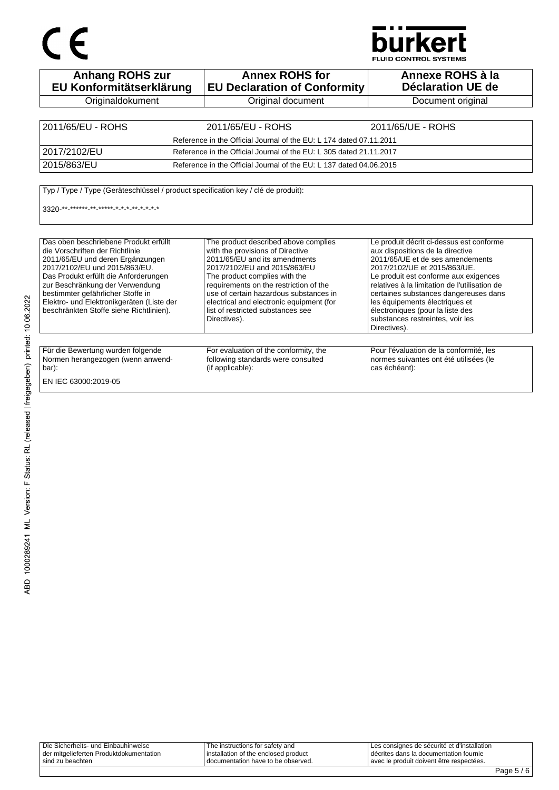# CE

## **burkert**

**FLUID CONTROL SYSTEMS** 

| <b>Anhang ROHS zur</b><br>EU Konformitätserklärung                                                                                                                                                                                                                                                                                                     | <b>Annex ROHS for</b><br><b>EU Declaration of Conformity</b>                                                                                                                                                                                                                                                                                                    | Annexe ROHS à la<br>Déclaration UE de                                                                                                                                                                                                                                                                                                                                                                         |
|--------------------------------------------------------------------------------------------------------------------------------------------------------------------------------------------------------------------------------------------------------------------------------------------------------------------------------------------------------|-----------------------------------------------------------------------------------------------------------------------------------------------------------------------------------------------------------------------------------------------------------------------------------------------------------------------------------------------------------------|---------------------------------------------------------------------------------------------------------------------------------------------------------------------------------------------------------------------------------------------------------------------------------------------------------------------------------------------------------------------------------------------------------------|
| Originaldokument                                                                                                                                                                                                                                                                                                                                       | Original document                                                                                                                                                                                                                                                                                                                                               | Document original                                                                                                                                                                                                                                                                                                                                                                                             |
|                                                                                                                                                                                                                                                                                                                                                        |                                                                                                                                                                                                                                                                                                                                                                 |                                                                                                                                                                                                                                                                                                                                                                                                               |
| 2011/65/EU - ROHS                                                                                                                                                                                                                                                                                                                                      | 2011/65/EU - ROHS                                                                                                                                                                                                                                                                                                                                               | 2011/65/UE - ROHS                                                                                                                                                                                                                                                                                                                                                                                             |
|                                                                                                                                                                                                                                                                                                                                                        | Reference in the Official Journal of the EU: L 174 dated 07.11.2011                                                                                                                                                                                                                                                                                             |                                                                                                                                                                                                                                                                                                                                                                                                               |
| 2017/2102/EU                                                                                                                                                                                                                                                                                                                                           | Reference in the Official Journal of the EU: L 305 dated 21.11.2017                                                                                                                                                                                                                                                                                             |                                                                                                                                                                                                                                                                                                                                                                                                               |
| 2015/863/EU                                                                                                                                                                                                                                                                                                                                            | Reference in the Official Journal of the EU: L 137 dated 04.06.2015                                                                                                                                                                                                                                                                                             |                                                                                                                                                                                                                                                                                                                                                                                                               |
| $3320$ ** ****** ** ***** * * * * * * * * *                                                                                                                                                                                                                                                                                                            |                                                                                                                                                                                                                                                                                                                                                                 |                                                                                                                                                                                                                                                                                                                                                                                                               |
| Das oben beschriebene Produkt erfüllt<br>die Vorschriften der Richtlinie<br>2011/65/EU und deren Ergänzungen<br>2017/2102/EU und 2015/863/EU.<br>Das Produkt erfüllt die Anforderungen<br>zur Beschränkung der Verwendung<br>bestimmter gefährlicher Stoffe in<br>Elektro- und Elektronikgeräten (Liste der<br>beschränkten Stoffe siehe Richtlinien). | The product described above complies<br>with the provisions of Directive<br>2011/65/EU and its amendments<br>2017/2102/EU and 2015/863/EU<br>The product complies with the<br>requirements on the restriction of the<br>use of certain hazardous substances in<br>electrical and electronic equipment (for<br>list of restricted substances see<br>Directives). | Le produit décrit ci-dessus est conforme<br>aux dispositions de la directive<br>2011/65/UE et de ses amendements<br>2017/2102/UE et 2015/863/UE.<br>Le produit est conforme aux exigences<br>relatives à la limitation de l'utilisation de<br>certaines substances dangereuses dans<br>les équipements électriques et<br>électroniques (pour la liste des<br>substances restreintes, voir les<br>Directives). |
| Für die Bewertung wurden folgende<br>Normen herangezogen (wenn anwend-<br>bar):<br>EN IEC 63000:2019-05                                                                                                                                                                                                                                                | For evaluation of the conformity, the<br>following standards were consulted<br>(if applicable):                                                                                                                                                                                                                                                                 | Pour l'évaluation de la conformité, les<br>normes suivantes ont été utilisées (le<br>cas échéant):                                                                                                                                                                                                                                                                                                            |

Die Sicherheits- und Einbauhinweise der mitgelieferten Produktdokumentation sind zu beachten The instructions for safety and installation of the enclosed product documentation have to be observed. Les consignes de sécurité et d'installation décrites dans la documentation fournie avec le produit doivent être respectées.